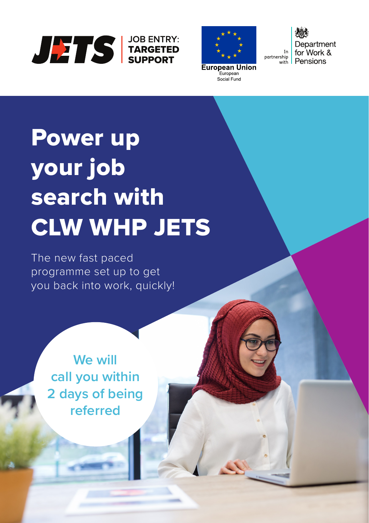



Department for Work & In partnership<br>with Pensions

# Power up your job search with CLW WHP JETS

The new fast paced programme set up to get you back into work, quickly!

> **We will call you within 2 days of being referred**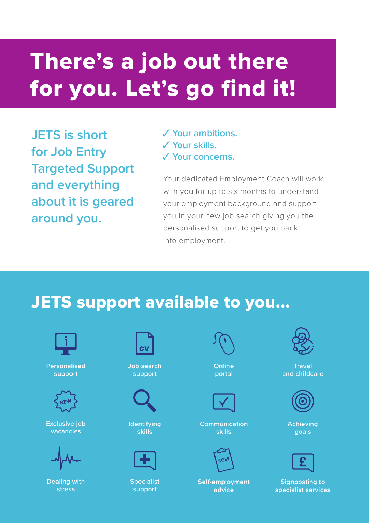## There's a job out there for you. Let's go find it!

**JETS is short for Job Entry Targeted Support and everything about it is geared around you.** 

✓ **Your ambitions.** ✓ **Your skills.** ✓ **Your concerns.** 

Your dedicated Employment Coach will work with you for up to six months to understand your employment background and support you in your new job search giving you the personalised support to get you back into employment.

#### JETS support available to you...



**Personalised support**



**Exclusive job vacancies**



**Dealing with stress**



**Job search support**



**Identifying skills**



**Specialist support**

**Online portal**



**Communication skills**



**Self-employment advice**



**Travel and childcare** 



**Achieving goals**

**Signposting to specialist services**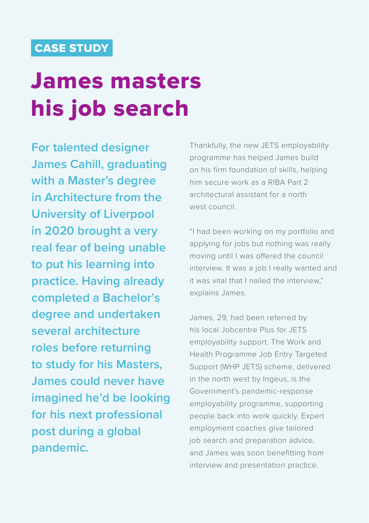#### CASE STUDY

### James masters his job search

**For talented designer James Cahill, graduating with a Master's degree in Architecture from the University of Liverpool in 2020 brought a very real fear of being unable to put his learning into practice. Having already completed a Bachelor's degree and undertaken several architecture roles before returning to study for his Masters, James could never have imagined he'd be looking for his next professional post during a global pandemic.**

Thankfully, the new JETS employability programme has helped James build on his firm foundation of skills, helping him secure work as a RIBA Part 2 architectural assistant for a north west council.

"I had been working on my portfolio and applying for jobs but nothing was really moving until I was offered the council interview. It was a job I really wanted and it was vital that I nailed the interview," explains James.

James, 29, had been referred by his local Jobcentre Plus for JETS employability support. The Work and Health Programme Job Entry Targeted Support (WHP JETS) scheme, delivered in the north west by Ingeus, is the Government's pandemic-response employability programme, supporting people back into work quickly. Expert employment coaches give tailored job search and preparation advice, and James was soon benefitting from interview and presentation practice.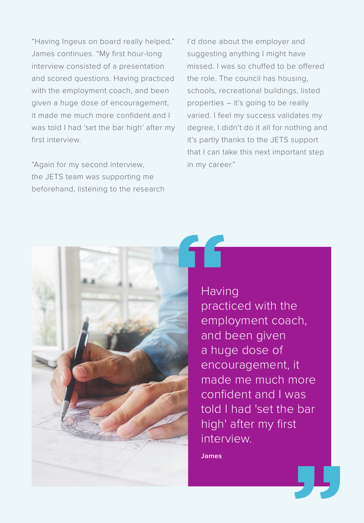"Having Ingeus on board really helped," James continues. "My first hour-long interview consisted of a presentation and scored questions. Having practiced with the employment coach, and been given a huge dose of encouragement, it made me much more confident and I was told I had 'set the bar high' after my first interview.

"Again for my second interview, the JETS team was supporting me beforehand, listening to the research I'd done about the employer and suggesting anything I might have missed. I was so chuffed to be offered the role. The council has housing, schools, recreational buildings, listed properties – it's going to be really varied. I feel my success validates my degree, I didn't do it all for nothing and it's partly thanks to the JETS support that I can take this next important step in my career."



**Having** practiced with the employment coach, and been given a huge dose of encouragement, it made me much more confident and I was told I had 'set the bar high' after my first interview.

**James**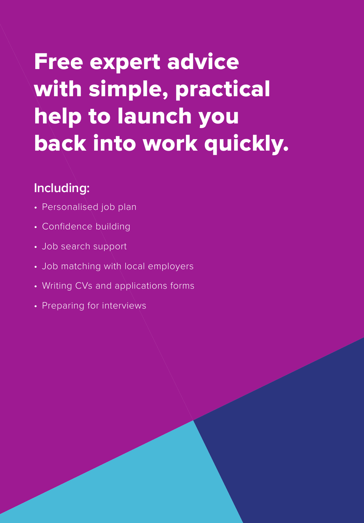## Free expert advice with simple, practical help to launch you back into work quickly.

#### **Including:**

- Personalised job plan
- Confidence building
- Job search support
- Job matching with local employers
- Writing CVs and applications forms
- Preparing for interviews